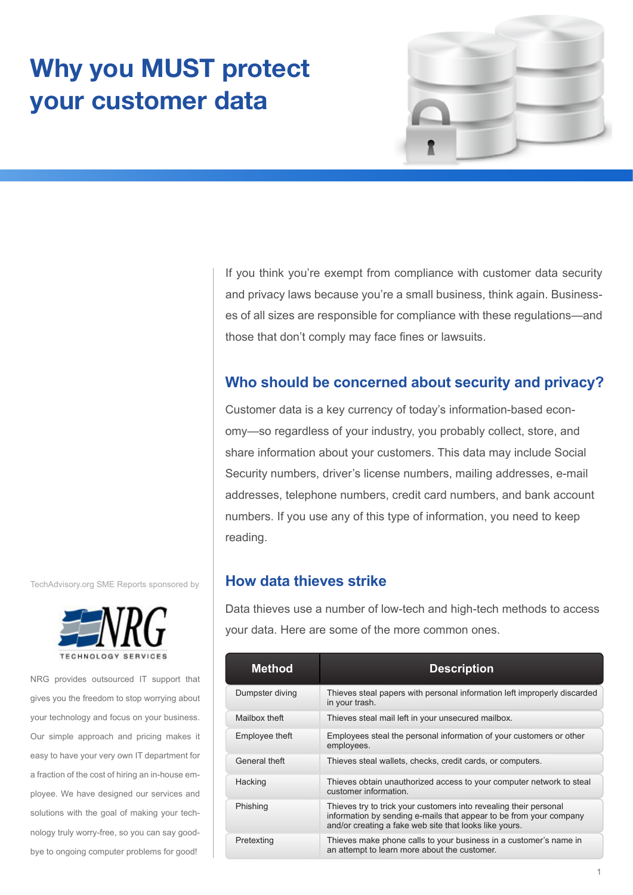# **Why you MUST protect your customer data**



If you think you're exempt from compliance with customer data security and privacy laws because you're a small business, think again. Businesses of all sizes are responsible for compliance with these regulations—and those that don't comply may face fines or lawsuits.

# **Who should be concerned about security and privacy?**

Customer data is a key currency of today's information-based economy—so regardless of your industry, you probably collect, store, and share information about your customers. This data may include Social Security numbers, driver's license numbers, mailing addresses, e-mail addresses, telephone numbers, credit card numbers, and bank account numbers. If you use any of this type of information, you need to keep reading.

## **How data thieves strike**

Data thieves use a number of low-tech and high-tech methods to access your data. Here are some of the more common ones.

| <b>Method</b>   | <b>Description</b>                                                                                                                                                                                |
|-----------------|---------------------------------------------------------------------------------------------------------------------------------------------------------------------------------------------------|
| Dumpster diving | Thieves steal papers with personal information left improperly discarded<br>in your trash.                                                                                                        |
| Mailbox theft   | Thieves steal mail left in your unsecured mailbox.                                                                                                                                                |
| Employee theft  | Employees steal the personal information of your customers or other<br>employees.                                                                                                                 |
| General theft   | Thieves steal wallets, checks, credit cards, or computers.                                                                                                                                        |
| Hacking         | Thieves obtain unauthorized access to your computer network to steal<br>customer information.                                                                                                     |
| Phishing        | Thieves try to trick your customers into revealing their personal<br>information by sending e-mails that appear to be from your company<br>and/or creating a fake web site that looks like yours. |
| Pretexting      | Thieves make phone calls to your business in a customer's name in<br>an attempt to learn more about the customer.                                                                                 |

TechAdvisory.org SME Reports sponsored by



NRG provides outsourced IT support that gives you the freedom to stop worrying about your technology and focus on your business. Our simple approach and pricing makes it easy to have your very own IT department for a fraction of the cost of hiring an in-house employee. We have designed our services and solutions with the goal of making your technology truly worry-free, so you can say goodbye to ongoing computer problems for good!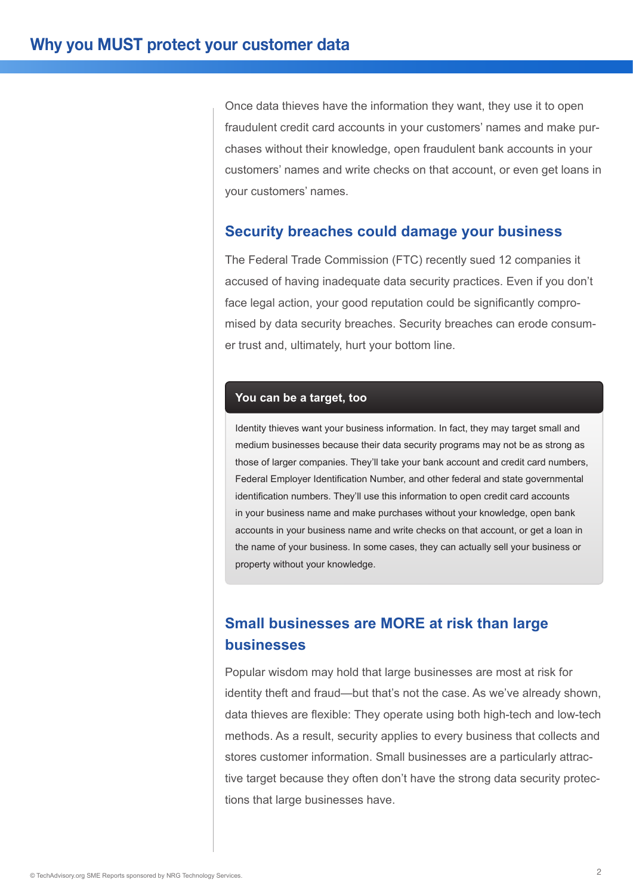Once data thieves have the information they want, they use it to open fraudulent credit card accounts in your customers' names and make purchases without their knowledge, open fraudulent bank accounts in your customers' names and write checks on that account, or even get loans in your customers' names.

#### **Security breaches could damage your business**

The Federal Trade Commission (FTC) recently sued 12 companies it accused of having inadequate data security practices. Even if you don't face legal action, your good reputation could be significantly compromised by data security breaches. Security breaches can erode consumer trust and, ultimately, hurt your bottom line.

#### **You can be a target, too**

Identity thieves want your business information. In fact, they may target small and medium businesses because their data security programs may not be as strong as those of larger companies. They'll take your bank account and credit card numbers, Federal Employer Identification Number, and other federal and state governmental identification numbers. They'll use this information to open credit card accounts in your business name and make purchases without your knowledge, open bank accounts in your business name and write checks on that account, or get a loan in the name of your business. In some cases, they can actually sell your business or property without your knowledge.

# **Small businesses are MORE at risk than large businesses**

Popular wisdom may hold that large businesses are most at risk for identity theft and fraud—but that's not the case. As we've already shown, data thieves are flexible: They operate using both high-tech and low-tech methods. As a result, security applies to every business that collects and stores customer information. Small businesses are a particularly attractive target because they often don't have the strong data security protections that large businesses have.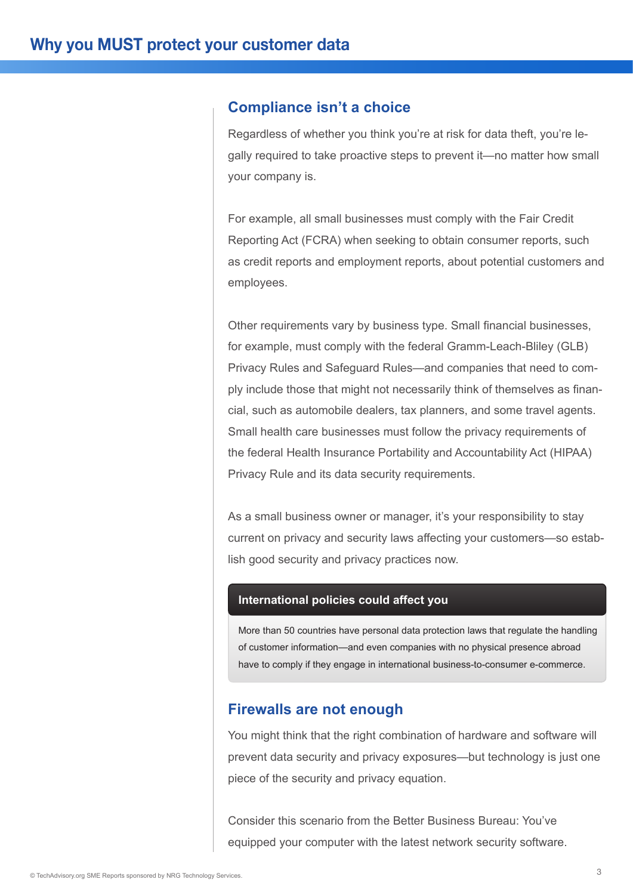#### **Compliance isn't a choice**

Regardless of whether you think you're at risk for data theft, you're legally required to take proactive steps to prevent it—no matter how small your company is.

For example, all small businesses must comply with the Fair Credit Reporting Act (FCRA) when seeking to obtain consumer reports, such as credit reports and employment reports, about potential customers and employees.

Other requirements vary by business type. Small financial businesses, for example, must comply with the federal Gramm-Leach-Bliley (GLB) Privacy Rules and Safeguard Rules—and companies that need to comply include those that might not necessarily think of themselves as financial, such as automobile dealers, tax planners, and some travel agents. Small health care businesses must follow the privacy requirements of the federal Health Insurance Portability and Accountability Act (HIPAA) Privacy Rule and its data security requirements.

As a small business owner or manager, it's your responsibility to stay current on privacy and security laws affecting your customers—so establish good security and privacy practices now.

#### **International policies could affect you**

More than 50 countries have personal data protection laws that regulate the handling of customer information—and even companies with no physical presence abroad have to comply if they engage in international business-to-consumer e-commerce.

#### **Firewalls are not enough**

You might think that the right combination of hardware and software will prevent data security and privacy exposures—but technology is just one piece of the security and privacy equation.

Consider this scenario from the Better Business Bureau: You've equipped your computer with the latest network security software.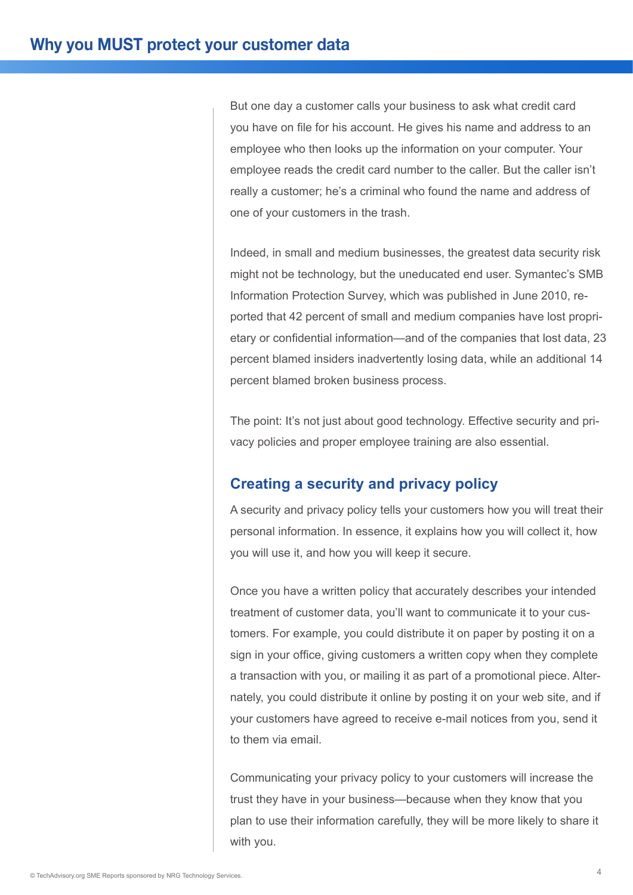But one day a customer calls your business to ask what credit card you have on file for his account. He gives his name and address to an employee who then looks up the information on your computer. Your employee reads the credit card number to the caller. But the caller isn't really a customer; he's a criminal who found the name and address of one of your customers in the trash.

Indeed, in small and medium businesses, the greatest data security risk might not be technology, but the uneducated end user. Symantec's SMB Information Protection Survey, which was published in June 2010, reported that 42 percent of small and medium companies have lost proprietary or confidential information—and of the companies that lost data, 23 percent blamed insiders inadvertently losing data, while an additional 14 percent blamed broken business process.

The point: It's not just about good technology. Effective security and privacy policies and proper employee training are also essential.

## **Creating a security and privacy policy**

A security and privacy policy tells your customers how you will treat their personal information. In essence, it explains how you will collect it, how you will use it, and how you will keep it secure.

Once you have a written policy that accurately describes your intended treatment of customer data, you'll want to communicate it to your customers. For example, you could distribute it on paper by posting it on a sign in your office, giving customers a written copy when they complete a transaction with you, or mailing it as part of a promotional piece. Alternately, you could distribute it online by posting it on your web site, and if your customers have agreed to receive e-mail notices from you, send it to them via email.

Communicating your privacy policy to your customers will increase the trust they have in your business—because when they know that you plan to use their information carefully, they will be more likely to share it with you.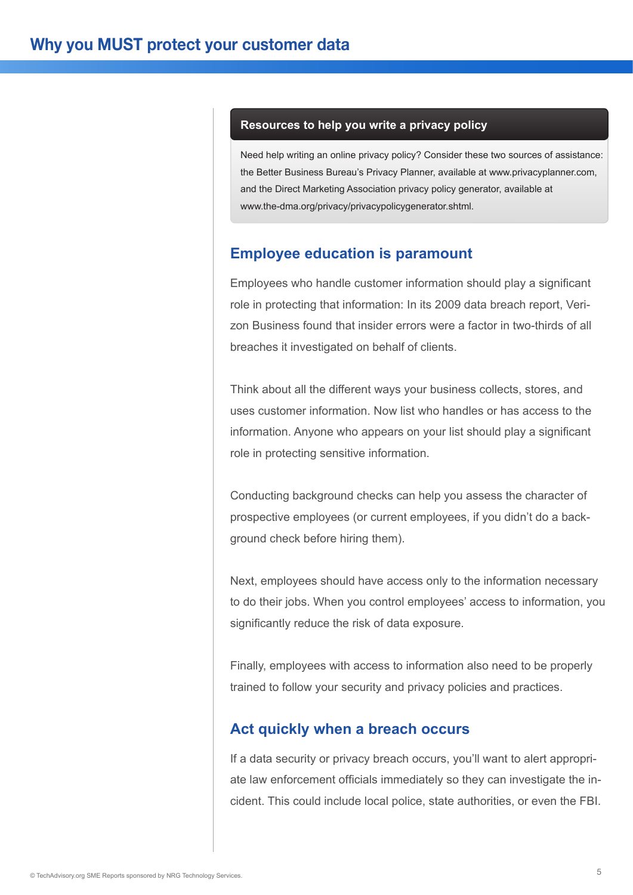#### **Resources to help you write a privacy policy**

Need help writing an online privacy policy? Consider these two sources of assistance: the Better Business Bureau's Privacy Planner, available at www.privacyplanner.com, and the Direct Marketing Association privacy policy generator, available at www.the-dma.org/privacy/privacypolicygenerator.shtml.

## **Employee education is paramount**

Employees who handle customer information should play a significant role in protecting that information: In its 2009 data breach report, Verizon Business found that insider errors were a factor in two-thirds of all breaches it investigated on behalf of clients.

Think about all the different ways your business collects, stores, and uses customer information. Now list who handles or has access to the information. Anyone who appears on your list should play a significant role in protecting sensitive information.

Conducting background checks can help you assess the character of prospective employees (or current employees, if you didn't do a background check before hiring them).

Next, employees should have access only to the information necessary to do their jobs. When you control employees' access to information, you significantly reduce the risk of data exposure.

Finally, employees with access to information also need to be properly trained to follow your security and privacy policies and practices.

#### **Act quickly when a breach occurs**

If a data security or privacy breach occurs, you'll want to alert appropriate law enforcement officials immediately so they can investigate the incident. This could include local police, state authorities, or even the FBI.